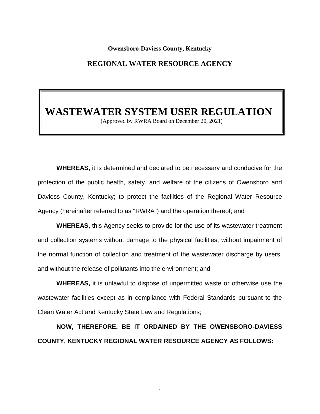#### **Owensboro-Daviess County, Kentucky**

## **REGIONAL WATER RESOURCE AGENCY**

# **WASTEWATER SYSTEM USER REGULATION**

(Approved by RWRA Board on December 20, 2021)

**WHEREAS,** it is determined and declared to be necessary and conducive for the protection of the public health, safety, and welfare of the citizens of Owensboro and Daviess County, Kentucky; to protect the facilities of the Regional Water Resource Agency (hereinafter referred to as "RWRA") and the operation thereof; and

**WHEREAS,** this Agency seeks to provide for the use of its wastewater treatment and collection systems without damage to the physical facilities, without impairment of the normal function of collection and treatment of the wastewater discharge by users, and without the release of pollutants into the environment; and

**WHEREAS,** it is unlawful to dispose of unpermitted waste or otherwise use the wastewater facilities except as in compliance with Federal Standards pursuant to the Clean Water Act and Kentucky State Law and Regulations;

**NOW, THEREFORE, BE IT ORDAINED BY THE OWENSBORO-DAVIESS COUNTY, KENTUCKY REGIONAL WATER RESOURCE AGENCY AS FOLLOWS:**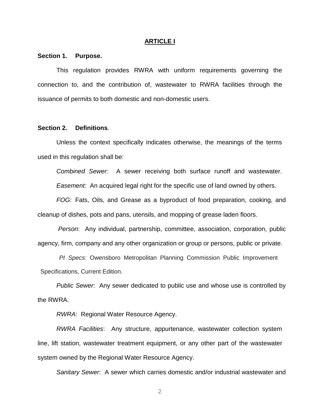#### **ARTICLE I**

## **Section 1. Purpose.**

This regulation provides RWRA with uniform requirements governing the connection to, and the contribution of, wastewater to RWRA facilities through the issuance of permits to both domestic and non-domestic users.

## **Section 2. Definitions**.

Unless the context specifically indicates otherwise, the meanings of the terms used in this regulation shall be:

*Combined Sewer:* A sewer receiving both surface runoff and wastewater*. Easement:* An acquired legal right for the specific use of land owned by others.

*FOG*: Fats, Oils, and Grease as a byproduct of food preparation, cooking, and cleanup of dishes, pots and pans, utensils, and mopping of grease laden floors.

*Person*: Any individual, partnership, committee, association, corporation, public agency, firm, company and any other organization or group or persons, public or private.

*PI Specs:* Owensboro Metropolitan Planning Commission Public Improvement Specifications, Current Edition.

*Public Sewer*: Any sewer dedicated to public use and whose use is controlled by the RWRA.

*RWRA*: Regional Water Resource Agency.

*RWRA Facilities*: Any structure, appurtenance, wastewater collection system line, lift station, wastewater treatment equipment, or any other part of the wastewater system owned by the Regional Water Resource Agency.

*Sanitary Sewer*: A sewer which carries domestic and/or industrial wastewater and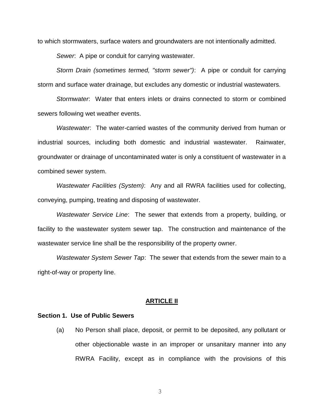to which stormwaters, surface waters and groundwaters are not intentionally admitted.

*Sewer*: A pipe or conduit for carrying wastewater.

*Storm Drain (sometimes termed, "storm sewer")*: A pipe or conduit for carrying storm and surface water drainage, but excludes any domestic or industrial wastewaters.

*Stormwater*: Water that enters inlets or drains connected to storm or combined sewers following wet weather events.

*Wastewater*: The water-carried wastes of the community derived from human or industrial sources, including both domestic and industrial wastewater. Rainwater, groundwater or drainage of uncontaminated water is only a constituent of wastewater in a combined sewer system.

*Wastewater Facilities (System)*: Any and all RWRA facilities used for collecting, conveying, pumping, treating and disposing of wastewater.

*Wastewater Service Line*: The sewer that extends from a property, building, or facility to the wastewater system sewer tap. The construction and maintenance of the wastewater service line shall be the responsibility of the property owner.

*Wastewater System Sewer Tap*: The sewer that extends from the sewer main to a right-of-way or property line.

#### **ARTICLE II**

## **Section 1. Use of Public Sewers**

(a) No Person shall place, deposit, or permit to be deposited, any pollutant or other objectionable waste in an improper or unsanitary manner into any RWRA Facility, except as in compliance with the provisions of this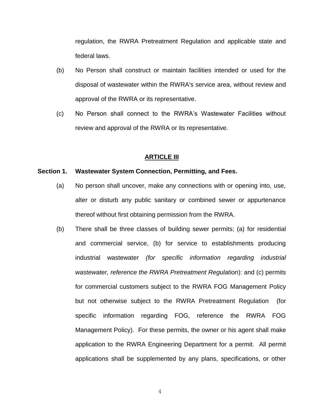regulation, the RWRA Pretreatment Regulation and applicable state and federal laws.

- (b) No Person shall construct or maintain facilities intended or used for the disposal of wastewater within the RWRA's service area, without review and approval of the RWRA or its representative.
- (c) No Person shall connect to the RWRA's Wastewater Facilities without review and approval of the RWRA or its representative.

## **ARTICLE III**

### **Section 1. Wastewater System Connection, Permitting, and Fees.**

- (a) No person shall uncover, make any connections with or opening into, use, alter or disturb any public sanitary or combined sewer or appurtenance thereof without first obtaining permission from the RWRA.
- (b) There shall be three classes of building sewer permits; (a) for residential and commercial service, (b) for service to establishments producing industrial wastewater *(for specific information regarding industrial wastewater, reference the RWRA Pretreatment Regulation*): and (c) permits for commercial customers subject to the RWRA FOG Management Policy but not otherwise subject to the RWRA Pretreatment Regulation (for specific information regarding FOG, reference the RWRA FOG Management Policy). For these permits, the owner or his agent shall make application to the RWRA Engineering Department for a permit. All permit applications shall be supplemented by any plans, specifications, or other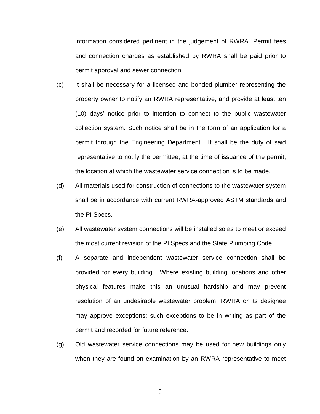information considered pertinent in the judgement of RWRA. Permit fees and connection charges as established by RWRA shall be paid prior to permit approval and sewer connection.

- (c) It shall be necessary for a licensed and bonded plumber representing the property owner to notify an RWRA representative, and provide at least ten (10) days' notice prior to intention to connect to the public wastewater collection system. Such notice shall be in the form of an application for a permit through the Engineering Department. It shall be the duty of said representative to notify the permittee, at the time of issuance of the permit, the location at which the wastewater service connection is to be made.
- (d) All materials used for construction of connections to the wastewater system shall be in accordance with current RWRA-approved ASTM standards and the PI Specs.
- (e) All wastewater system connections will be installed so as to meet or exceed the most current revision of the PI Specs and the State Plumbing Code.
- (f) A separate and independent wastewater service connection shall be provided for every building. Where existing building locations and other physical features make this an unusual hardship and may prevent resolution of an undesirable wastewater problem, RWRA or its designee may approve exceptions; such exceptions to be in writing as part of the permit and recorded for future reference.
- (g) Old wastewater service connections may be used for new buildings only when they are found on examination by an RWRA representative to meet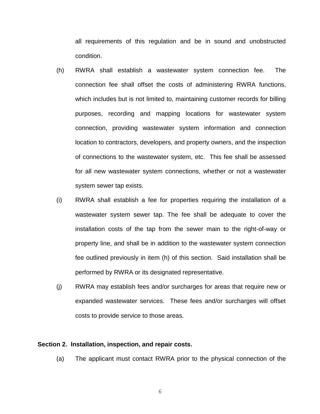all requirements of this regulation and be in sound and unobstructed condition.

- (h) RWRA shall establish a wastewater system connection fee. The connection fee shall offset the costs of administering RWRA functions, which includes but is not limited to, maintaining customer records for billing purposes, recording and mapping locations for wastewater system connection, providing wastewater system information and connection location to contractors, developers, and property owners, and the inspection of connections to the wastewater system, etc. This fee shall be assessed for all new wastewater system connections, whether or not a wastewater system sewer tap exists.
- (i) RWRA shall establish a fee for properties requiring the installation of a wastewater system sewer tap. The fee shall be adequate to cover the installation costs of the tap from the sewer main to the right-of-way or property line, and shall be in addition to the wastewater system connection fee outlined previously in item (h) of this section. Said installation shall be performed by RWRA or its designated representative.
- (j) RWRA may establish fees and/or surcharges for areas that require new or expanded wastewater services. These fees and/or surcharges will offset costs to provide service to those areas.

## **Section 2. Installation, inspection, and repair costs.**

(a) The applicant must contact RWRA prior to the physical connection of the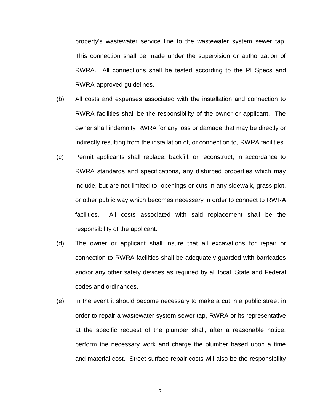property's wastewater service line to the wastewater system sewer tap. This connection shall be made under the supervision or authorization of RWRA. All connections shall be tested according to the PI Specs and RWRA-approved guidelines.

- (b) All costs and expenses associated with the installation and connection to RWRA facilities shall be the responsibility of the owner or applicant. The owner shall indemnify RWRA for any loss or damage that may be directly or indirectly resulting from the installation of, or connection to, RWRA facilities.
- (c) Permit applicants shall replace, backfill, or reconstruct, in accordance to RWRA standards and specifications, any disturbed properties which may include, but are not limited to, openings or cuts in any sidewalk, grass plot, or other public way which becomes necessary in order to connect to RWRA facilities. All costs associated with said replacement shall be the responsibility of the applicant.
- (d) The owner or applicant shall insure that all excavations for repair or connection to RWRA facilities shall be adequately guarded with barricades and/or any other safety devices as required by all local, State and Federal codes and ordinances.
- (e) In the event it should become necessary to make a cut in a public street in order to repair a wastewater system sewer tap, RWRA or its representative at the specific request of the plumber shall, after a reasonable notice, perform the necessary work and charge the plumber based upon a time and material cost. Street surface repair costs will also be the responsibility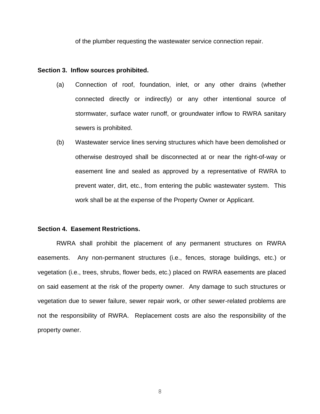of the plumber requesting the wastewater service connection repair.

#### **Section 3. Inflow sources prohibited.**

- (a) Connection of roof, foundation, inlet, or any other drains (whether connected directly or indirectly) or any other intentional source of stormwater, surface water runoff, or groundwater inflow to RWRA sanitary sewers is prohibited.
- (b) Wastewater service lines serving structures which have been demolished or otherwise destroyed shall be disconnected at or near the right-of-way or easement line and sealed as approved by a representative of RWRA to prevent water, dirt, etc., from entering the public wastewater system. This work shall be at the expense of the Property Owner or Applicant.

#### **Section 4. Easement Restrictions.**

RWRA shall prohibit the placement of any permanent structures on RWRA easements. Any non-permanent structures (i.e., fences, storage buildings, etc.) or vegetation (i.e., trees, shrubs, flower beds, etc.) placed on RWRA easements are placed on said easement at the risk of the property owner. Any damage to such structures or vegetation due to sewer failure, sewer repair work, or other sewer-related problems are not the responsibility of RWRA. Replacement costs are also the responsibility of the property owner.